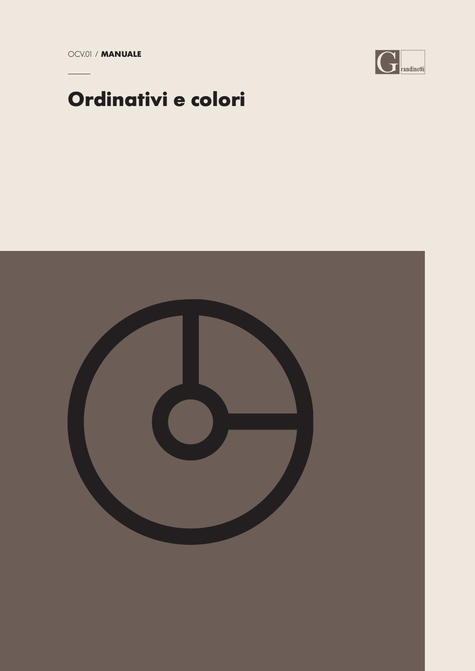OCV.01 / **MANUALE**



# **Ordinativi e colori**

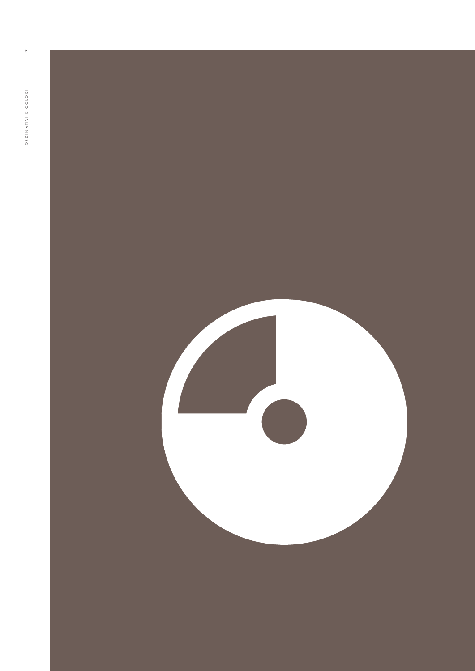

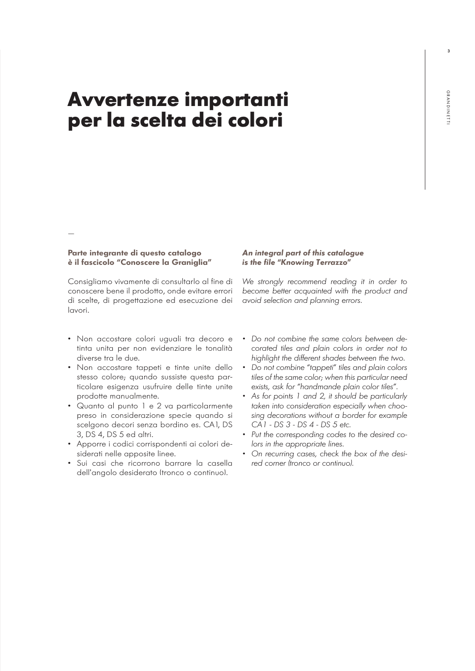3

## **Avvertenze importanti per la scelta dei colori**

#### **Parte integrante di questo catalogo è il fascicolo "Conoscere la Graniglia"**

*—*

Consigliamo vivamente di consultarlo al fine di conoscere bene il prodotto, onde evitare errori di scelte, di progettazione ed esecuzione dei lavori.

- Non accostare colori uguali tra decoro e tinta unita per non evidenziare le tonalità diverse tra le due.
- Non accostare tappeti e tinte unite dello stesso colore; quando sussiste questa particolare esigenza usufruire delle tinte unite prodotte manualmente.
- Quanto al punto 1 e 2 va particolarmente preso in considerazione specie quando si scelgono decori senza bordino es. CA1, DS 3, DS 4, DS 5 ed altri.
- Apporre i codici corrispondenti ai colori desiderati nelle apposite linee.
- Sui casi che ricorrono barrare la casella dell'angolo desiderato (tronco o continuo).

### *An integral part of this catalogue is the file "Knowing Terrazzo"*

*We strongly recommend reading it in order to become better acquainted with the product and avoid selection and planning errors.*

- *• Do not combine the same colors between decorated tiles and plain colors in order not to highlight the different shades between the two.*
- *• Do not combine "tappeti" tiles and plain colors tiles of the same color; when this particular need exists, ask for "handmande plain color tiles".*
- *• As for points 1 and 2, it should be particularly taken into consideration especially when choosing decorations without a border for example CA1 - DS 3 - DS 4 - DS 5 etc.*
- *• Put the corresponding codes to the desired colors in the appropriate lines.*
- *• On recurring cases, check the box of the desired corner (tronco or continuo).*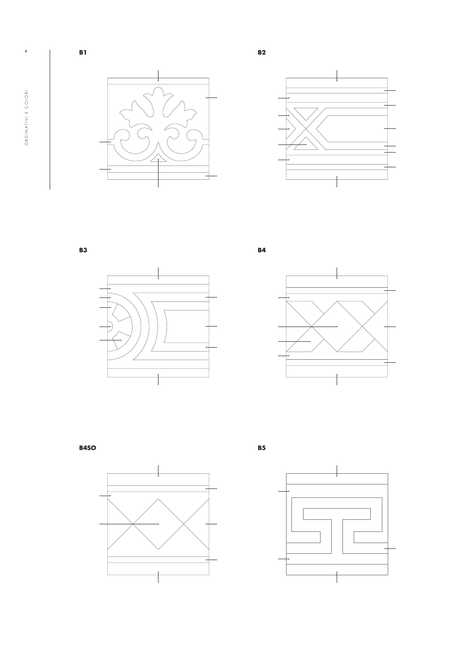



**B3**







**B4SO**







ORDINATIVI E COLORI ORDINATIVI E COLORI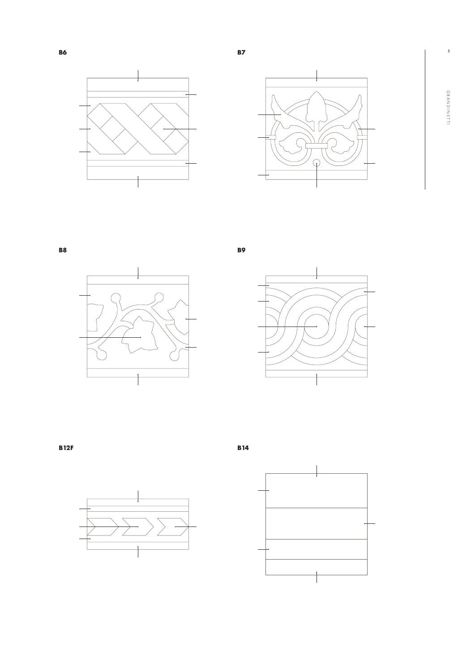







**B12F**





**B7**

**B9**

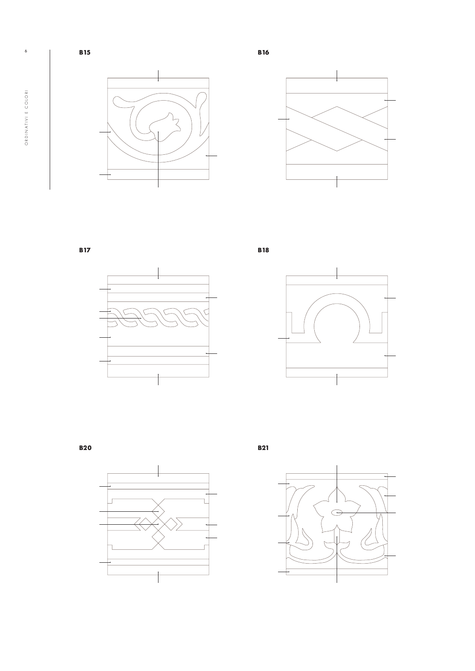

**B17**





**B16**



**B20**



**B21**



ORDINATIVI E COLORI ORDINATIVI E COLORI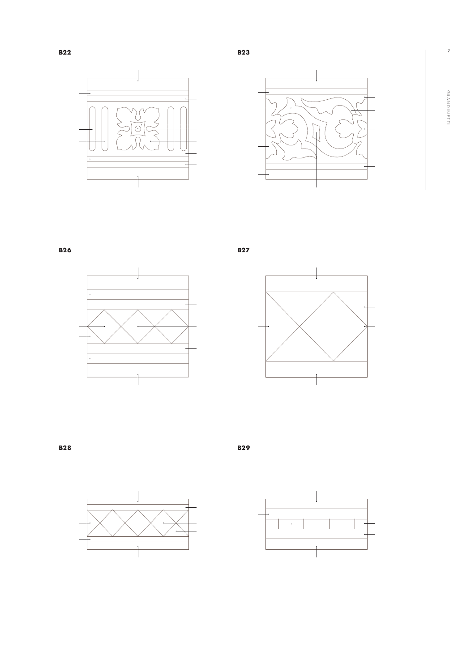**B29**















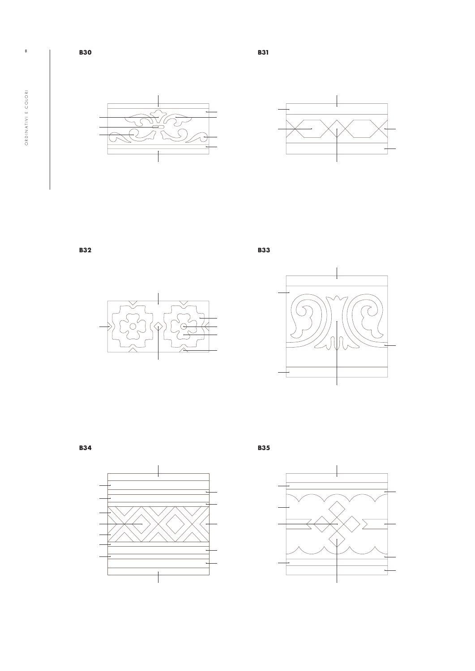

**B32**

**B33**

**B31**









**B35**

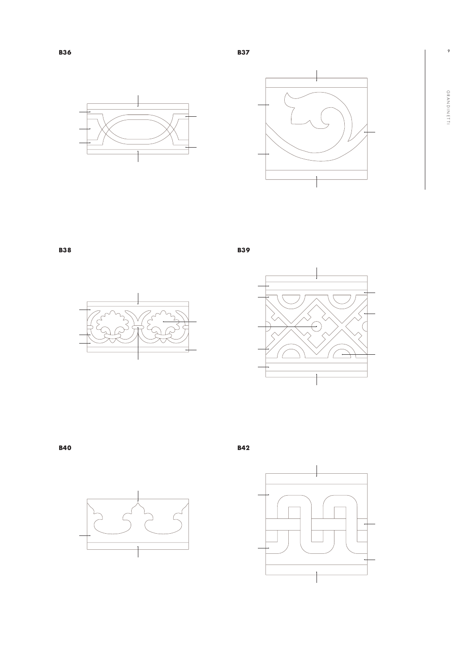



**B38**





**B40**



**B42**

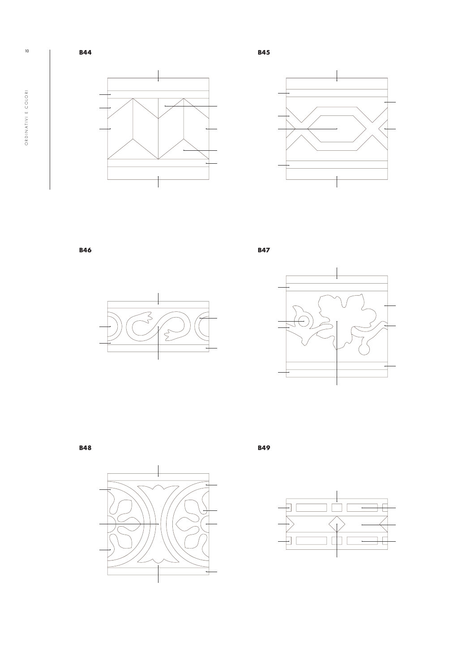

10







**B46**

**B44**

**B47**





**B48**



**B49**

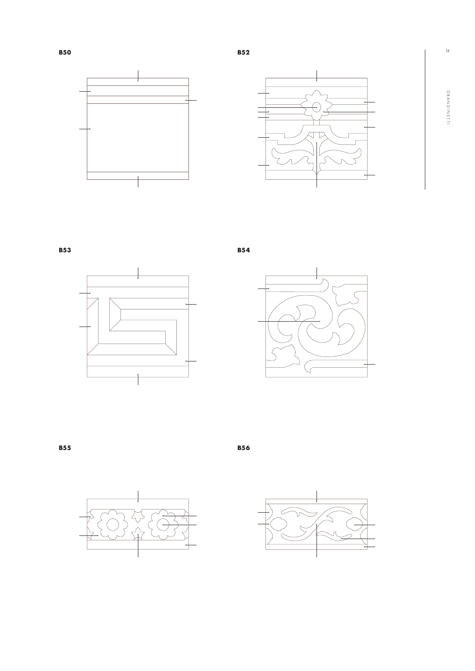



**B53**









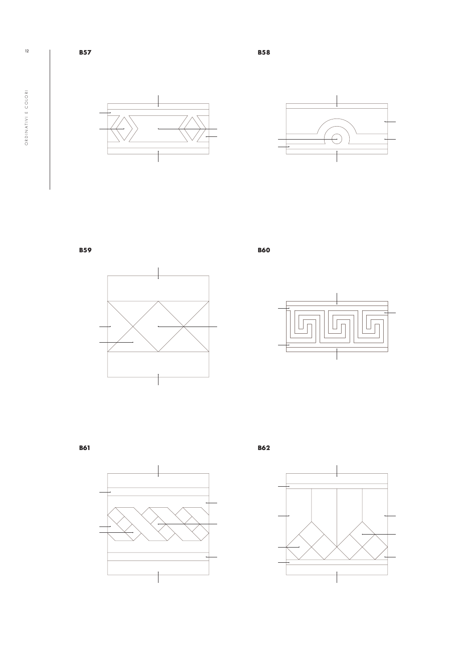





**B60**

**B58**



**B61**



**B62**

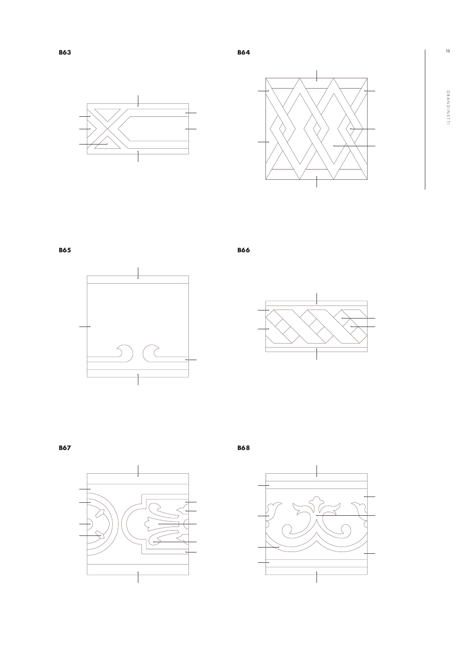













**B68**



GRANDINETTI

BANNUNETTI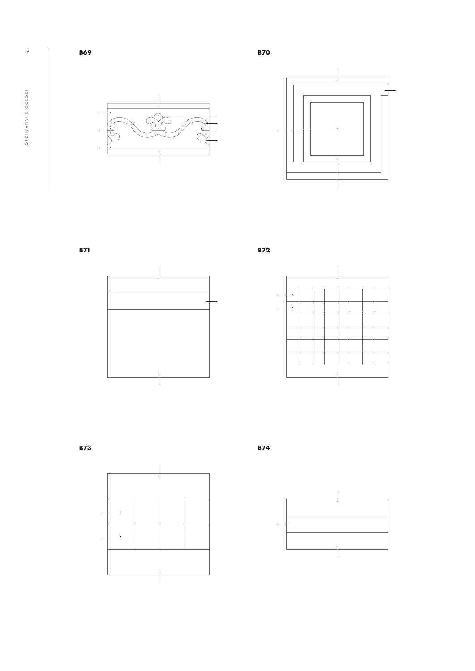







**B70**



**B73**



**B74**

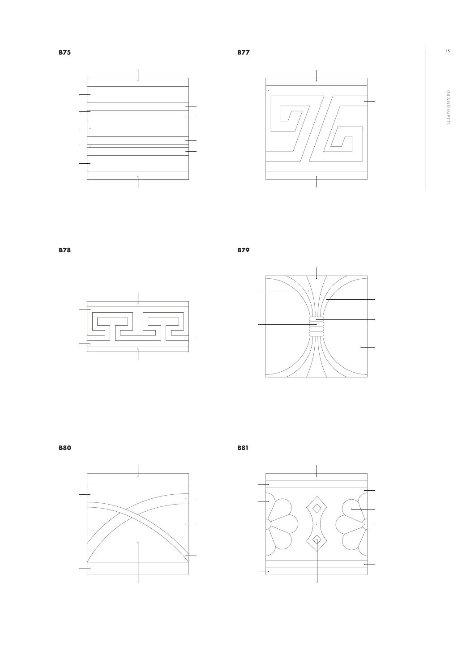



**B78**





**B80**





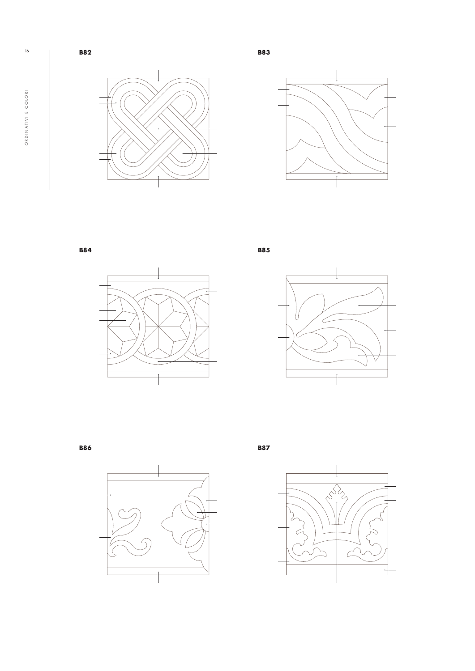











**B86**







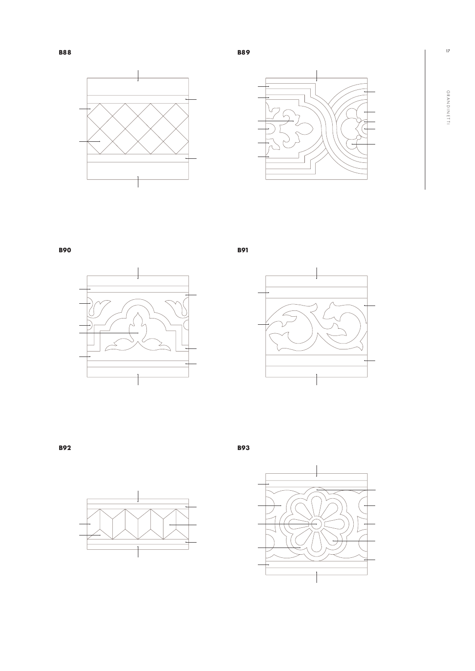



**B90**





**B92**



**B93**

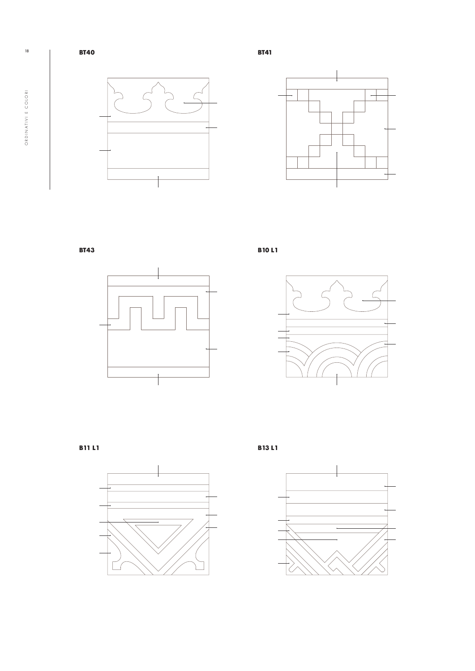**BT41**





**BT43**

**B10 L1**



**B11 L1**



**B13 L1**

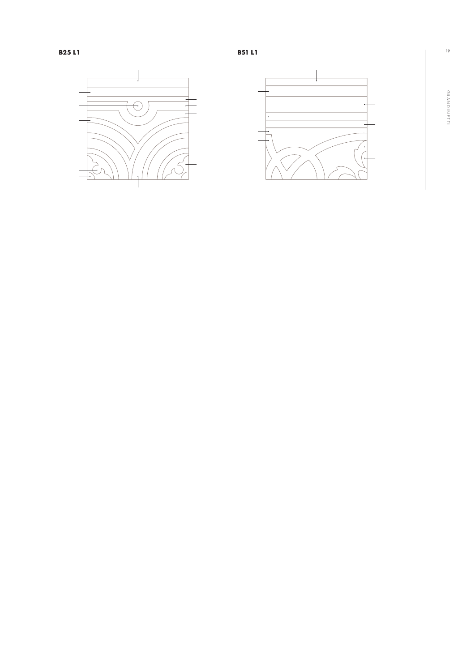



GRANDINETTI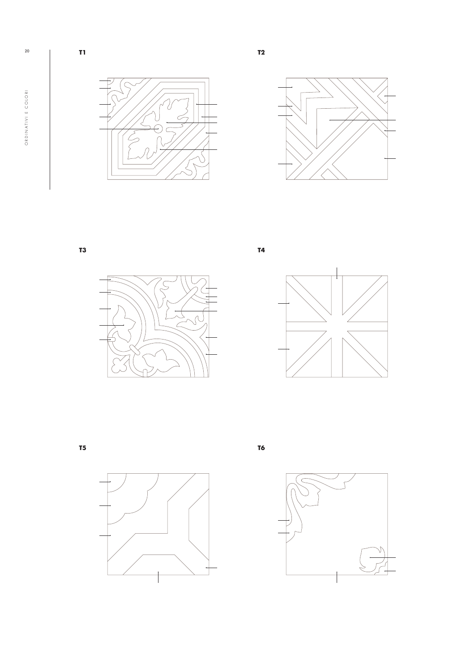20





**T3**





**T5**



**T6**

**T2**

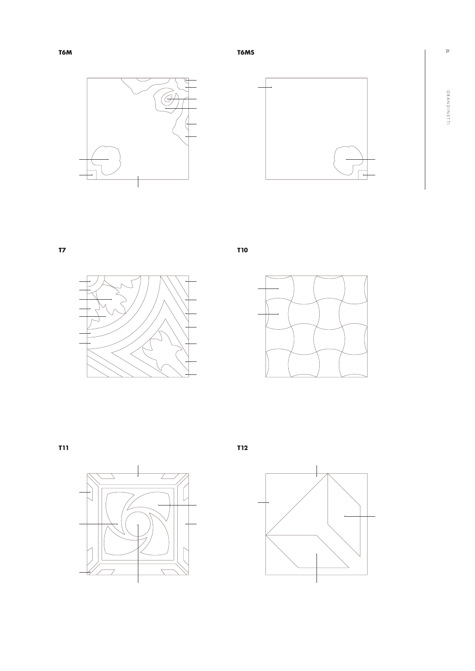







**T11**





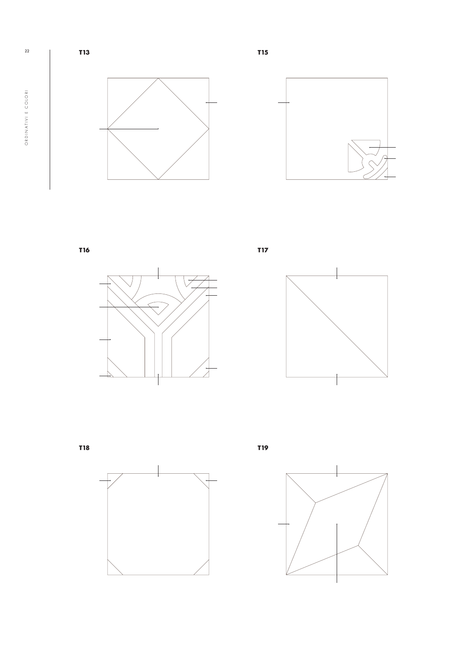

22





**T16**







**T18**





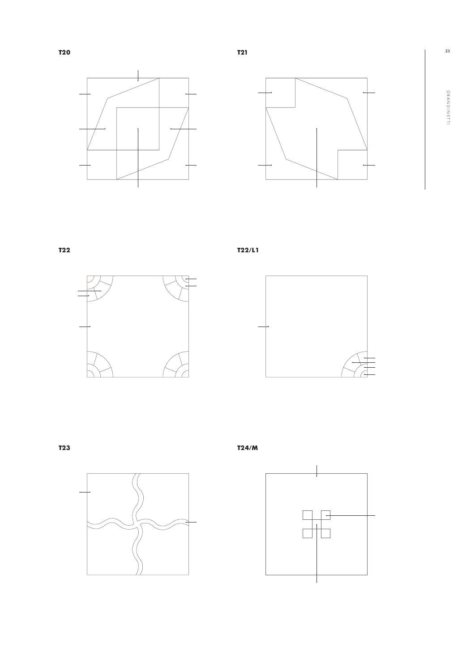







**T23**



**T24/M**

**T22/L1**

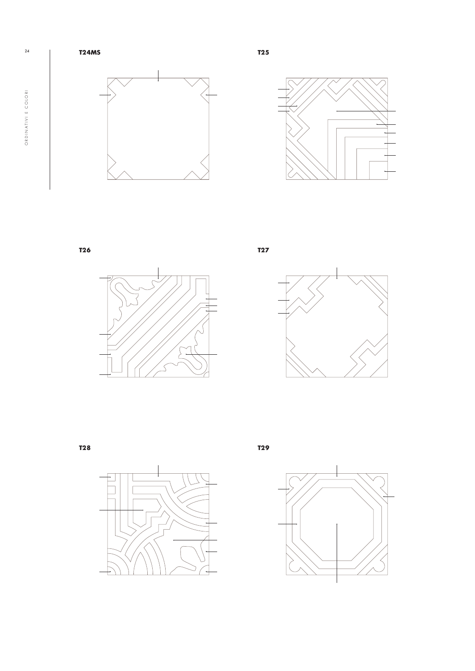**T24MS**



**T26**



**T27**

**T25**



**T28**





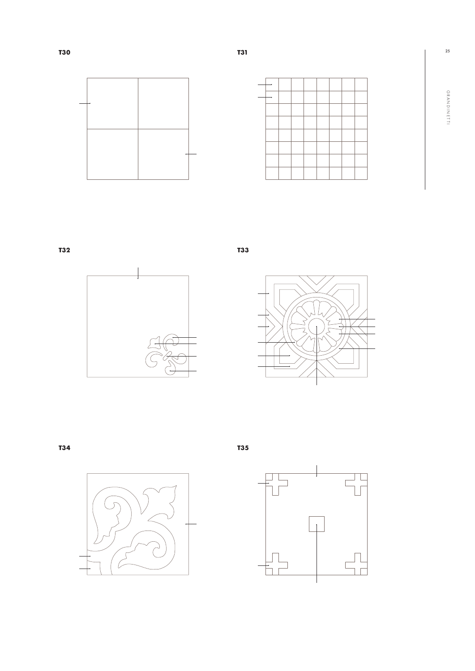

| __ |  |  |  |  |
|----|--|--|--|--|
| —— |  |  |  |  |
|    |  |  |  |  |
|    |  |  |  |  |
|    |  |  |  |  |
|    |  |  |  |  |
|    |  |  |  |  |
|    |  |  |  |  |





**T34**



**T35**

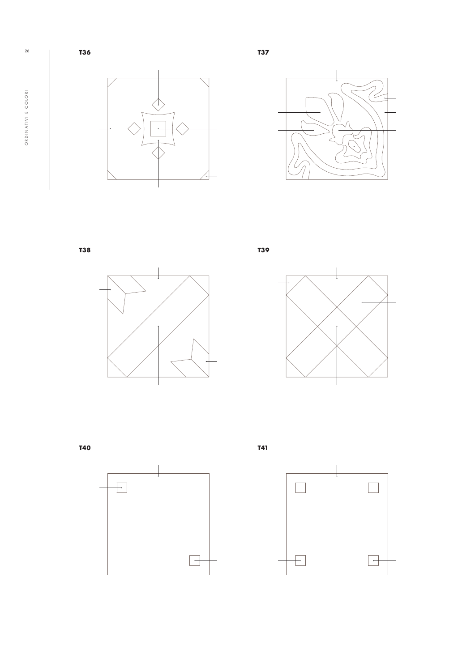







**T39**

**T37**



**T40**



**T41**

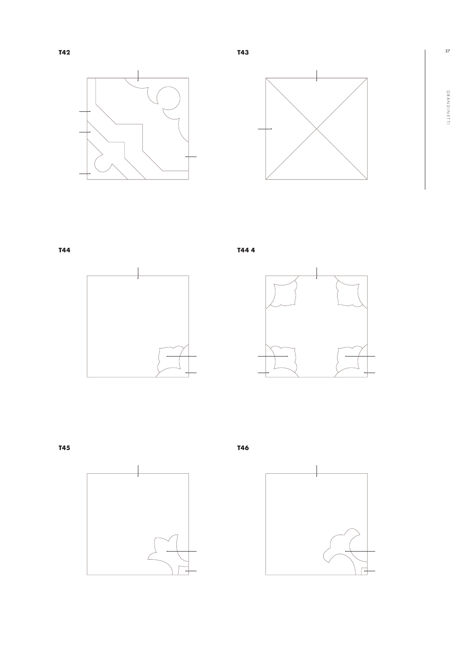





**T43**





**T45**



**T46**

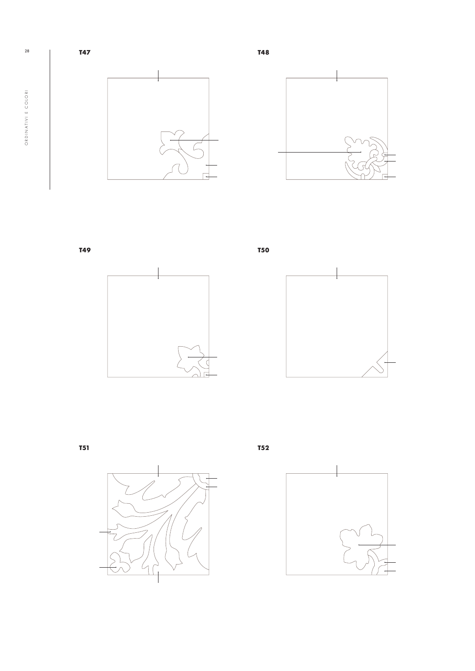

28





**T49**





**T51**







**T50**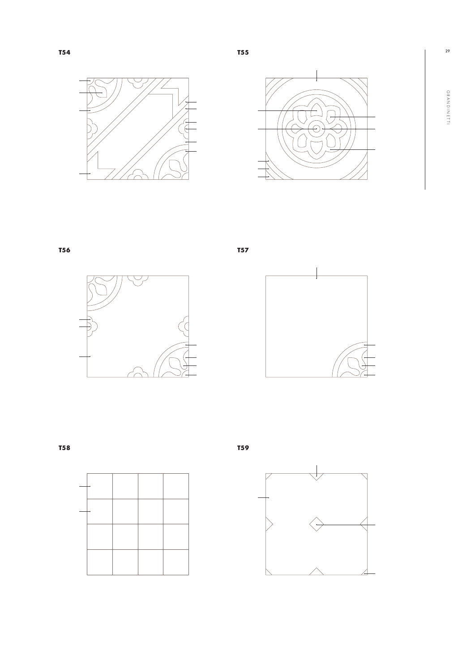













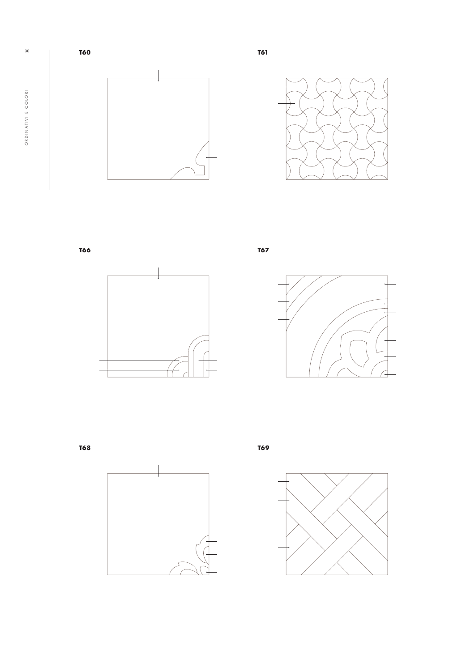







**T67**

**T61**



**T68**



**T69**

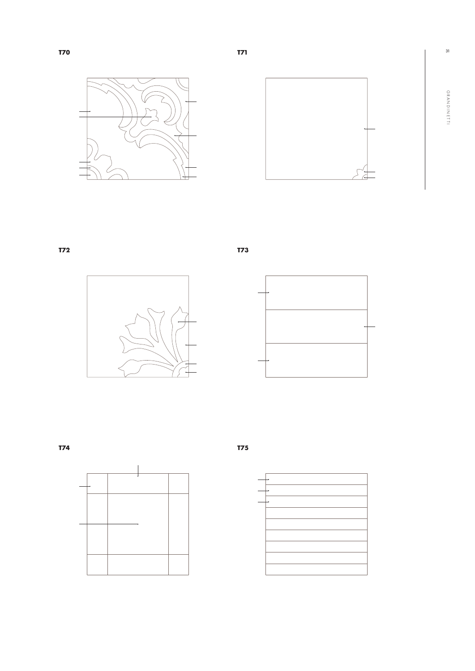



**T72**





**T74**



**T75**

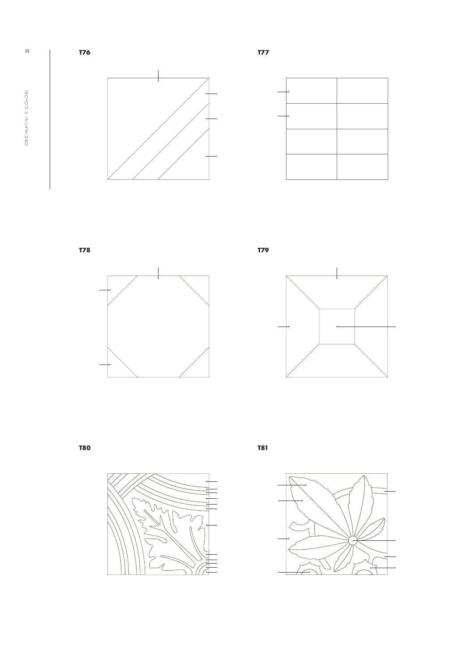

32





**T78**



**T79**



**T80**



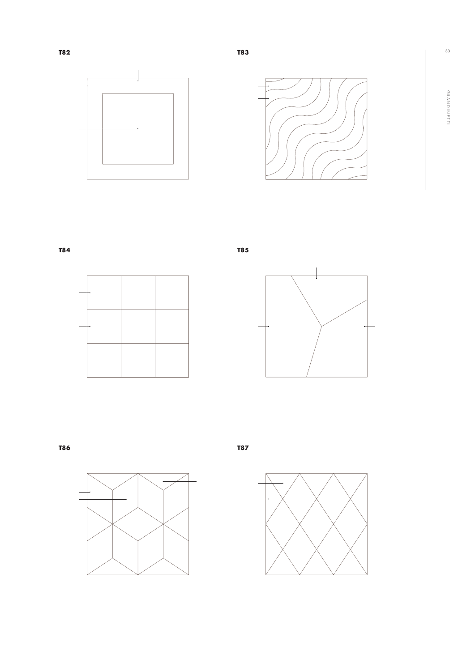**T87**





**T84**





**T86**





GRANDINETTI

GRANDINETTI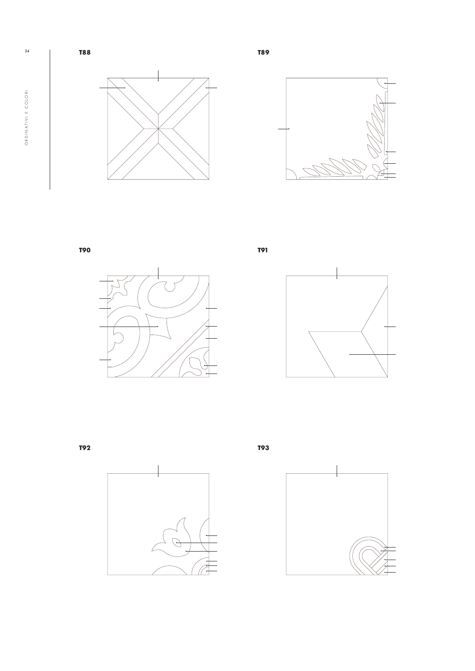





**T91**



**T92**





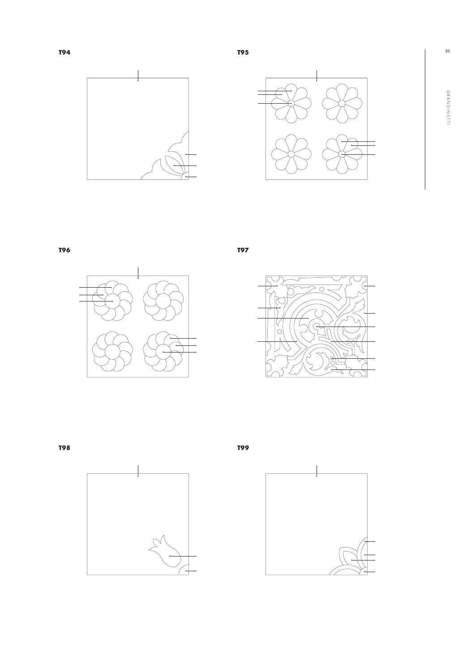



**T96**









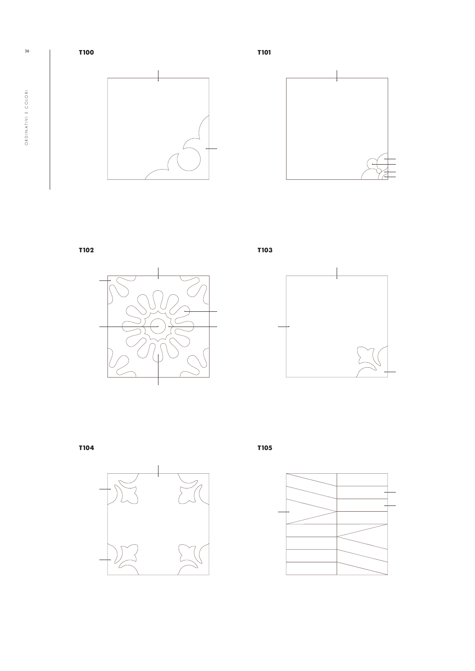

**T102**



**T104**



**T105**

**T101**

**T103**

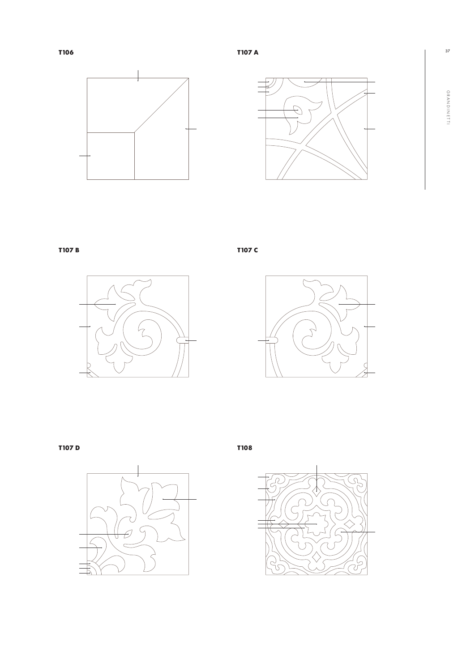



**T107 B**

**T107 C**





**T107 D**



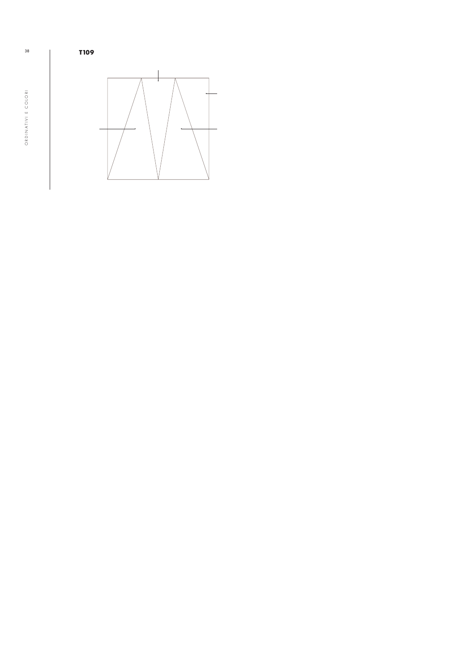

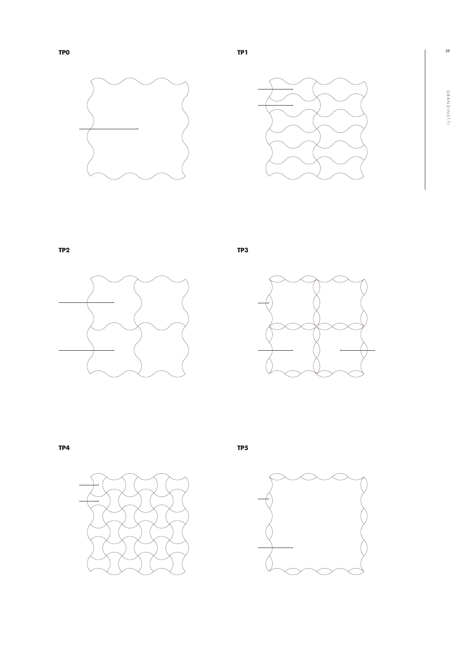BANNUNETTI

GRANDINETTI

39





**TP2**



**TP3**



**TP4**



**TP5**

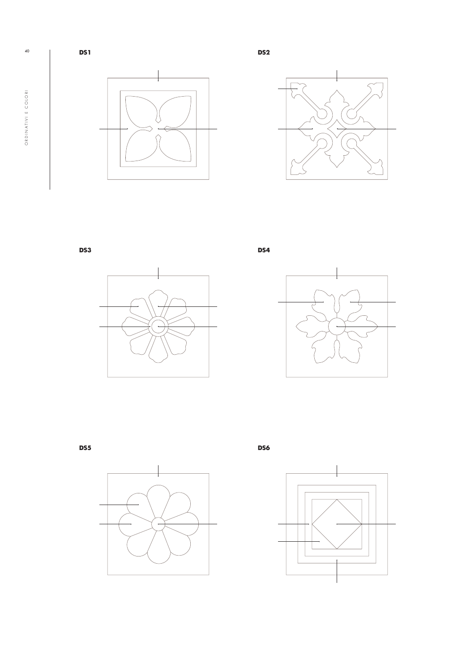**DS1**



**DS2**



**DS3**



**DS4**



**DS5**





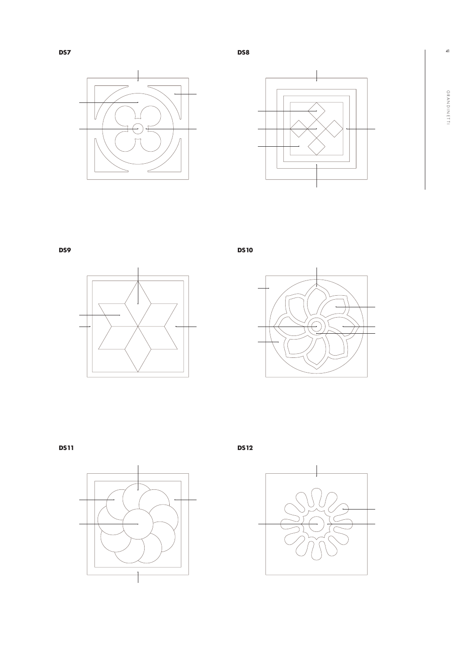



**DS9**





**DS11 DS12**



**DS8**

**DS10**

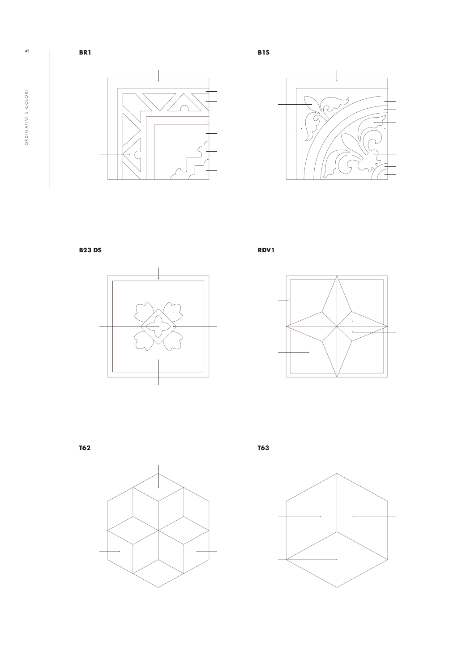42





**B23 DS**



**RDV1**

**B1S**



**T62**



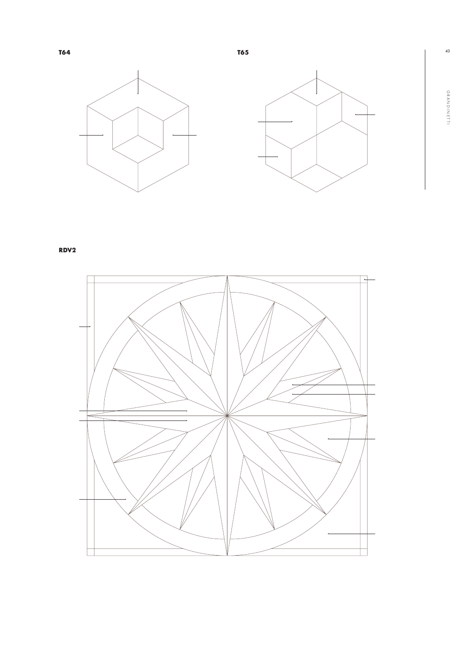43





**RDV2**

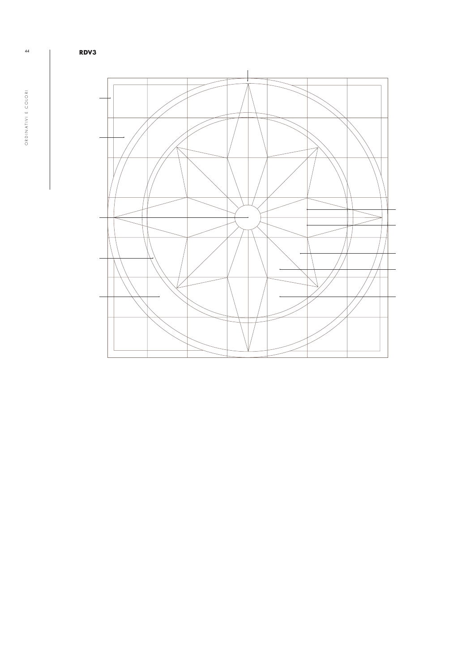**RDV3**

ORDINATIVI E COLORI ORDINATIVI E COLORI

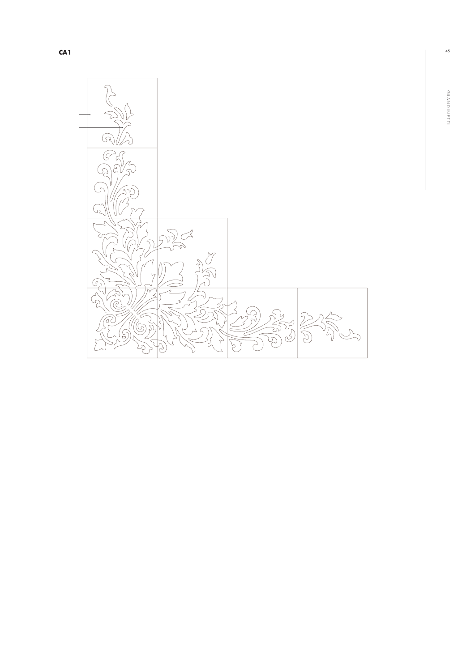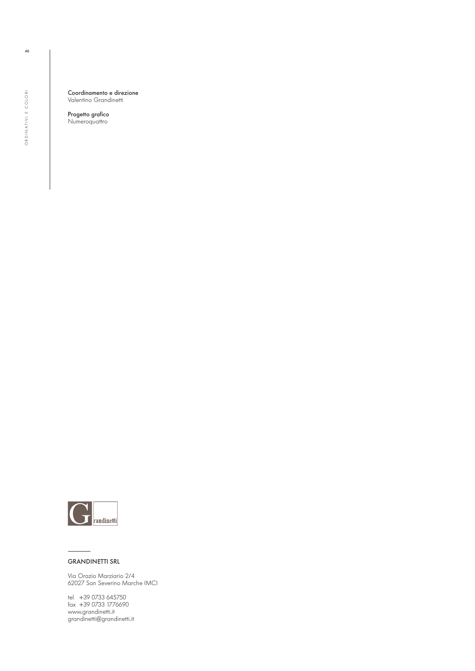Coordinamento e direzione Valentino Grandinetti

Progetto grafico **Numeroquattro** 



#### GRANDINETTI SRL

Via Orazio Marziario 2/4 62027 San Severino Marche (MC)

tel +39 0733 645750 fax +39 0733 1776690 www.grandinetti.it grandinetti@grandinetti.it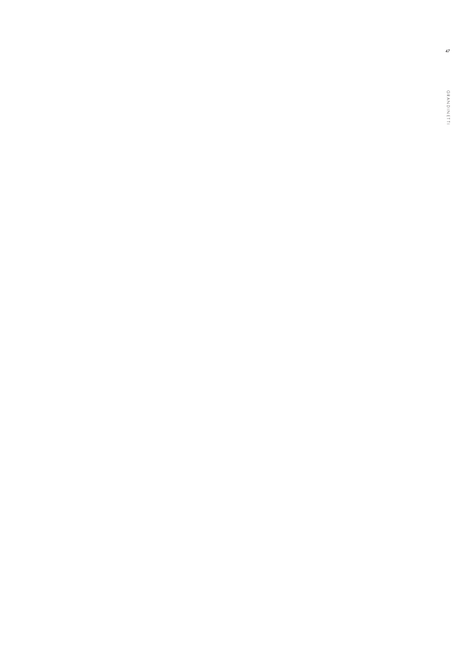BANNUNETTI GRANDINETTI